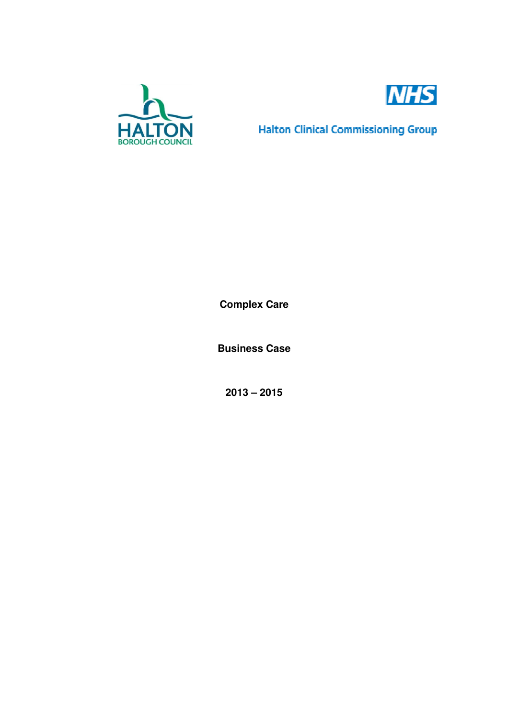



**Halton Clinical Commissioning Group** 

**Complex Care** 

**Business Case** 

**2013 – 2015**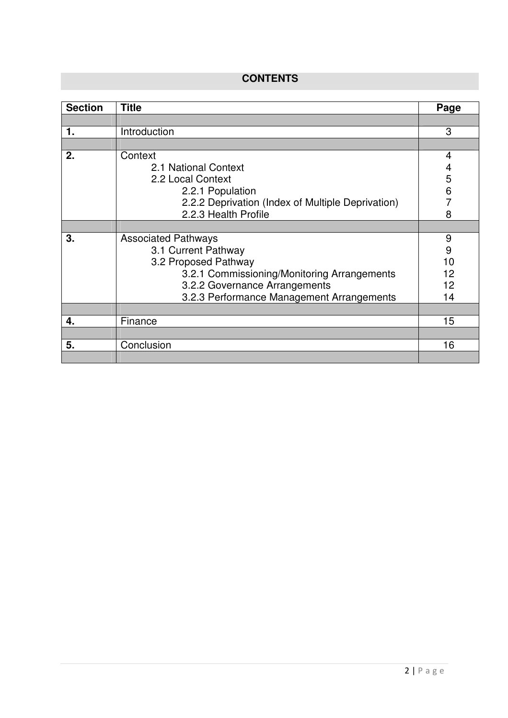# **CONTENTS**

| <b>Section</b> | <b>Title</b>                                      | Page |
|----------------|---------------------------------------------------|------|
|                |                                                   |      |
| 1.             | Introduction                                      | 3    |
|                |                                                   |      |
| 2.             | Context                                           | 4    |
|                | 2.1 National Context                              | 4    |
|                | 2.2 Local Context                                 | 5    |
|                | 2.2.1 Population                                  | 6    |
|                | 2.2.2 Deprivation (Index of Multiple Deprivation) |      |
|                | 2.2.3 Health Profile                              | 8    |
|                |                                                   |      |
| 3.             | <b>Associated Pathways</b>                        | 9    |
|                | 3.1 Current Pathway                               | 9    |
|                | 3.2 Proposed Pathway                              | 10   |
|                | 3.2.1 Commissioning/Monitoring Arrangements       | 12   |
|                | 3.2.2 Governance Arrangements                     | 12   |
|                | 3.2.3 Performance Management Arrangements         | 14   |
|                |                                                   |      |
| 4.             | Finance                                           | 15   |
|                |                                                   |      |
| 5.             | Conclusion                                        | 16   |
|                |                                                   |      |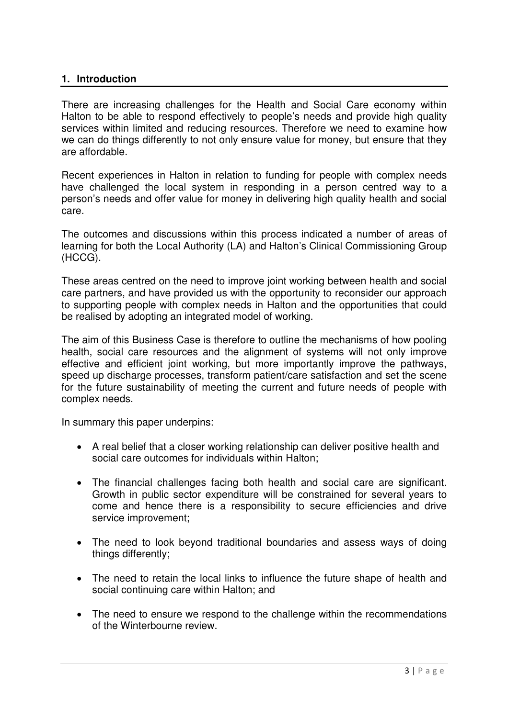### **1. Introduction**

There are increasing challenges for the Health and Social Care economy within Halton to be able to respond effectively to people's needs and provide high quality services within limited and reducing resources. Therefore we need to examine how we can do things differently to not only ensure value for money, but ensure that they are affordable.

Recent experiences in Halton in relation to funding for people with complex needs have challenged the local system in responding in a person centred way to a person's needs and offer value for money in delivering high quality health and social care.

The outcomes and discussions within this process indicated a number of areas of learning for both the Local Authority (LA) and Halton's Clinical Commissioning Group (HCCG).

These areas centred on the need to improve joint working between health and social care partners, and have provided us with the opportunity to reconsider our approach to supporting people with complex needs in Halton and the opportunities that could be realised by adopting an integrated model of working.

The aim of this Business Case is therefore to outline the mechanisms of how pooling health, social care resources and the alignment of systems will not only improve effective and efficient joint working, but more importantly improve the pathways, speed up discharge processes, transform patient/care satisfaction and set the scene for the future sustainability of meeting the current and future needs of people with complex needs.

In summary this paper underpins:

- A real belief that a closer working relationship can deliver positive health and social care outcomes for individuals within Halton;
- The financial challenges facing both health and social care are significant. Growth in public sector expenditure will be constrained for several years to come and hence there is a responsibility to secure efficiencies and drive service improvement;
- The need to look beyond traditional boundaries and assess ways of doing things differently;
- The need to retain the local links to influence the future shape of health and social continuing care within Halton; and
- The need to ensure we respond to the challenge within the recommendations of the Winterbourne review.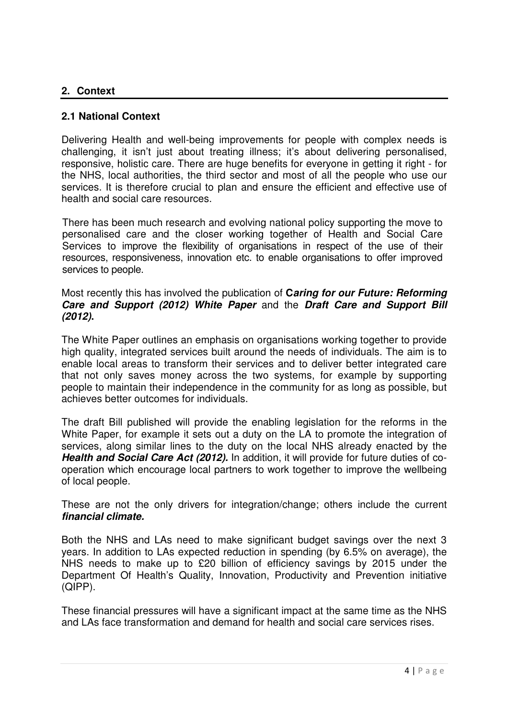### **2. Context**

#### **2.1 National Context**

Delivering Health and well-being improvements for people with complex needs is challenging, it isn't just about treating illness; it's about delivering personalised, responsive, holistic care. There are huge benefits for everyone in getting it right - for the NHS, local authorities, the third sector and most of all the people who use our services. It is therefore crucial to plan and ensure the efficient and effective use of health and social care resources.

There has been much research and evolving national policy supporting the move to personalised care and the closer working together of Health and Social Care Services to improve the flexibility of organisations in respect of the use of their resources, responsiveness, innovation etc. to enable organisations to offer improved services to people.

#### Most recently this has involved the publication of **Caring for our Future: Reforming Care and Support (2012) White Paper** and the **Draft Care and Support Bill (2012).**

The White Paper outlines an emphasis on organisations working together to provide high quality, integrated services built around the needs of individuals. The aim is to enable local areas to transform their services and to deliver better integrated care that not only saves money across the two systems, for example by supporting people to maintain their independence in the community for as long as possible, but achieves better outcomes for individuals.

The draft Bill published will provide the enabling legislation for the reforms in the White Paper, for example it sets out a duty on the LA to promote the integration of services, along similar lines to the duty on the local NHS already enacted by the **Health and Social Care Act (2012).** In addition, it will provide for future duties of cooperation which encourage local partners to work together to improve the wellbeing of local people.

These are not the only drivers for integration/change; others include the current **financial climate.** 

Both the NHS and LAs need to make significant budget savings over the next 3 years. In addition to LAs expected reduction in spending (by 6.5% on average), the NHS needs to make up to £20 billion of efficiency savings by 2015 under the Department Of Health's Quality, Innovation, Productivity and Prevention initiative (QIPP).

These financial pressures will have a significant impact at the same time as the NHS and LAs face transformation and demand for health and social care services rises.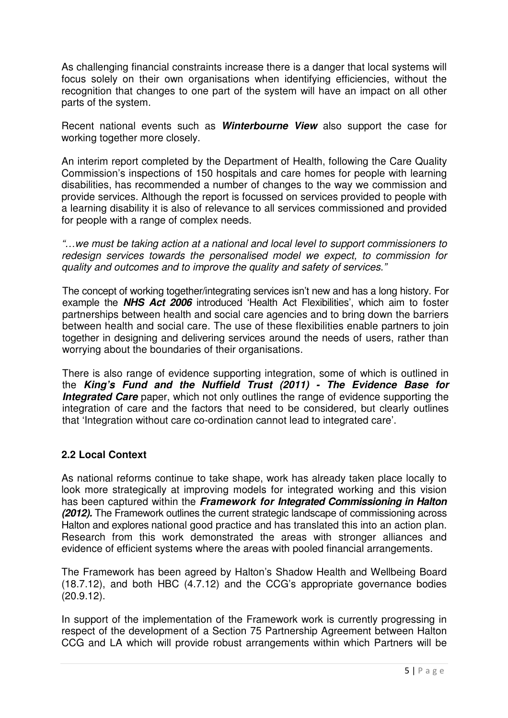As challenging financial constraints increase there is a danger that local systems will focus solely on their own organisations when identifying efficiencies, without the recognition that changes to one part of the system will have an impact on all other parts of the system.

Recent national events such as **Winterbourne View** also support the case for working together more closely.

An interim report completed by the Department of Health, following the Care Quality Commission's inspections of 150 hospitals and care homes for people with learning disabilities, has recommended a number of changes to the way we commission and provide services. Although the report is focussed on services provided to people with a learning disability it is also of relevance to all services commissioned and provided for people with a range of complex needs.

"…we must be taking action at a national and local level to support commissioners to redesign services towards the personalised model we expect, to commission for quality and outcomes and to improve the quality and safety of services."

The concept of working together/integrating services isn't new and has a long history. For example the **NHS Act 2006** introduced 'Health Act Flexibilities', which aim to foster partnerships between health and social care agencies and to bring down the barriers between health and social care. The use of these flexibilities enable partners to join together in designing and delivering services around the needs of users, rather than worrying about the boundaries of their organisations.

There is also range of evidence supporting integration, some of which is outlined in the **King's Fund and the Nuffield Trust (2011) - The Evidence Base for Integrated Care** paper, which not only outlines the range of evidence supporting the integration of care and the factors that need to be considered, but clearly outlines that 'Integration without care co-ordination cannot lead to integrated care'.

# **2.2 Local Context**

As national reforms continue to take shape, work has already taken place locally to look more strategically at improving models for integrated working and this vision has been captured within the **Framework for Integrated Commissioning in Halton (2012).** The Framework outlines the current strategic landscape of commissioning across Halton and explores national good practice and has translated this into an action plan. Research from this work demonstrated the areas with stronger alliances and evidence of efficient systems where the areas with pooled financial arrangements.

The Framework has been agreed by Halton's Shadow Health and Wellbeing Board (18.7.12), and both HBC (4.7.12) and the CCG's appropriate governance bodies (20.9.12).

In support of the implementation of the Framework work is currently progressing in respect of the development of a Section 75 Partnership Agreement between Halton CCG and LA which will provide robust arrangements within which Partners will be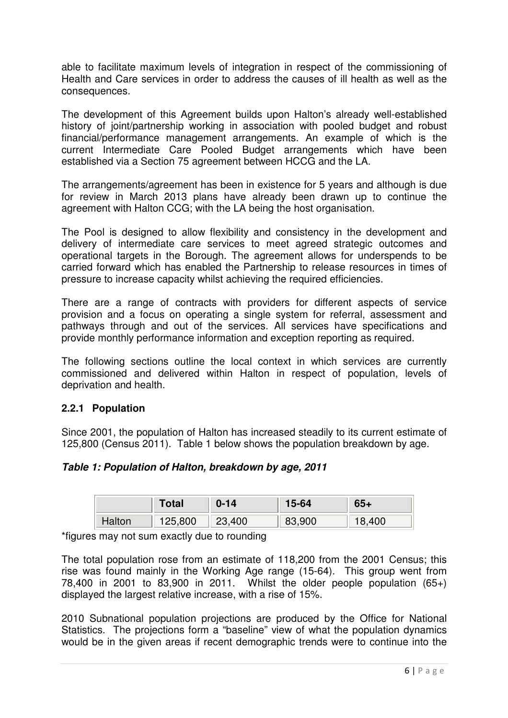able to facilitate maximum levels of integration in respect of the commissioning of Health and Care services in order to address the causes of ill health as well as the consequences.

The development of this Agreement builds upon Halton's already well-established history of joint/partnership working in association with pooled budget and robust financial/performance management arrangements. An example of which is the current Intermediate Care Pooled Budget arrangements which have been established via a Section 75 agreement between HCCG and the LA.

The arrangements/agreement has been in existence for 5 years and although is due for review in March 2013 plans have already been drawn up to continue the agreement with Halton CCG; with the LA being the host organisation.

The Pool is designed to allow flexibility and consistency in the development and delivery of intermediate care services to meet agreed strategic outcomes and operational targets in the Borough. The agreement allows for underspends to be carried forward which has enabled the Partnership to release resources in times of pressure to increase capacity whilst achieving the required efficiencies.

There are a range of contracts with providers for different aspects of service provision and a focus on operating a single system for referral, assessment and pathways through and out of the services. All services have specifications and provide monthly performance information and exception reporting as required.

The following sections outline the local context in which services are currently commissioned and delivered within Halton in respect of population, levels of deprivation and health.

# **2.2.1 Population**

Since 2001, the population of Halton has increased steadily to its current estimate of 125,800 (Census 2011). Table 1 below shows the population breakdown by age.

#### **Table 1: Population of Halton, breakdown by age, 2011**

|        | <b>Total</b> | $0 - 14$ | 15-64  | 65+ |
|--------|--------------|----------|--------|-----|
| Halton | 125,800      | 23,400   | 83,900 | 400 |

\*figures may not sum exactly due to rounding

The total population rose from an estimate of 118,200 from the 2001 Census; this rise was found mainly in the Working Age range (15-64). This group went from 78,400 in 2001 to 83,900 in 2011. Whilst the older people population (65+) displayed the largest relative increase, with a rise of 15%.

2010 Subnational population projections are produced by the Office for National Statistics. The projections form a "baseline" view of what the population dynamics would be in the given areas if recent demographic trends were to continue into the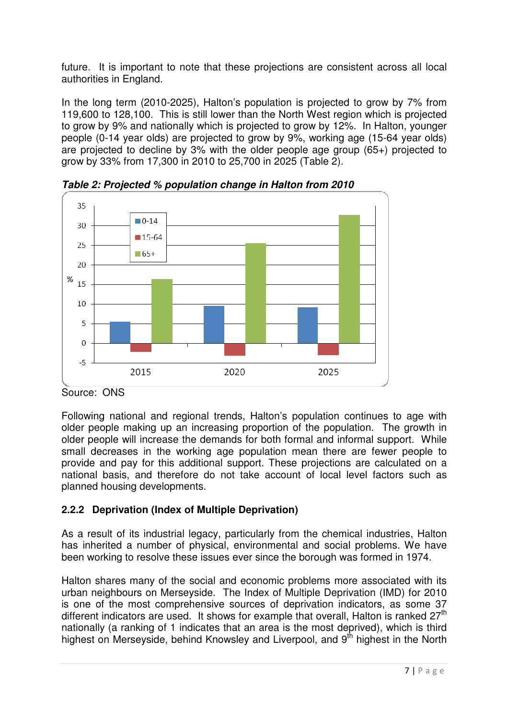future. It is important to note that these projections are consistent across all local authorities in England.

In the long term (2010-2025), Halton's population is projected to grow by 7% from 119,600 to 128,100. This is still lower than the North West region which is projected to grow by 9% and nationally which is projected to grow by 12%. In Halton, younger people (0-14 year olds) are projected to grow by 9%, working age (15-64 year olds) are projected to decline by 3% with the older people age group (65+) projected to grow by 33% from 17,300 in 2010 to 25,700 in 2025 (Table 2).



**Table 2: Projected % population change in Halton from 2010** 

Following national and regional trends, Halton's population continues to age with older people making up an increasing proportion of the population. The growth in older people will increase the demands for both formal and informal support. While small decreases in the working age population mean there are fewer people to provide and pay for this additional support. These projections are calculated on a national basis, and therefore do not take account of local level factors such as planned housing developments.

# **2.2.2 Deprivation (Index of Multiple Deprivation)**

As a result of its industrial legacy, particularly from the chemical industries, Halton has inherited a number of physical, environmental and social problems. We have been working to resolve these issues ever since the borough was formed in 1974.

Halton shares many of the social and economic problems more associated with its urban neighbours on Merseyside. The Index of Multiple Deprivation (IMD) for 2010 is one of the most comprehensive sources of deprivation indicators, as some 37 different indicators are used. It shows for example that overall, Halton is ranked  $27<sup>th</sup>$ nationally (a ranking of 1 indicates that an area is the most deprived), which is third highest on Merseyside, behind Knowsley and Liverpool, and 9<sup>th</sup> highest in the North

Source: ONS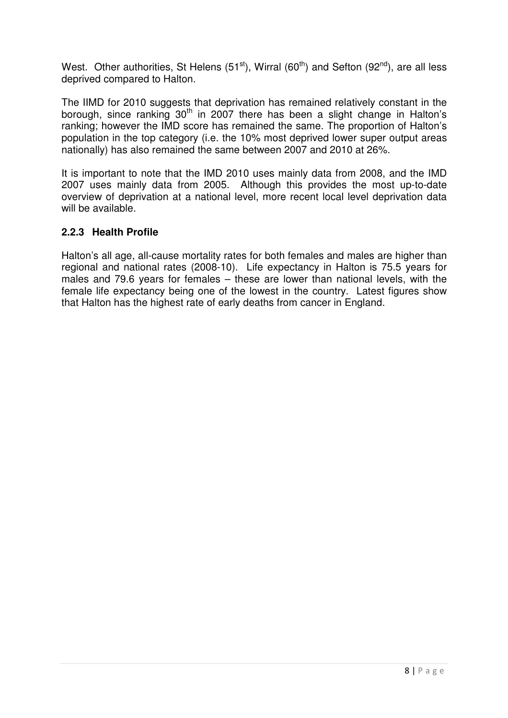West. Other authorities, St Helens  $(51<sup>st</sup>)$ , Wirral  $(60<sup>th</sup>)$  and Sefton  $(92<sup>nd</sup>)$ , are all less deprived compared to Halton.

The IIMD for 2010 suggests that deprivation has remained relatively constant in the borough, since ranking  $30<sup>th</sup>$  in 2007 there has been a slight change in Halton's ranking; however the IMD score has remained the same. The proportion of Halton's population in the top category (i.e. the 10% most deprived lower super output areas nationally) has also remained the same between 2007 and 2010 at 26%.

It is important to note that the IMD 2010 uses mainly data from 2008, and the IMD 2007 uses mainly data from 2005. Although this provides the most up-to-date overview of deprivation at a national level, more recent local level deprivation data will be available.

# **2.2.3 Health Profile**

Halton's all age, all-cause mortality rates for both females and males are higher than regional and national rates (2008-10). Life expectancy in Halton is 75.5 years for males and 79.6 years for females – these are lower than national levels, with the female life expectancy being one of the lowest in the country. Latest figures show that Halton has the highest rate of early deaths from cancer in England.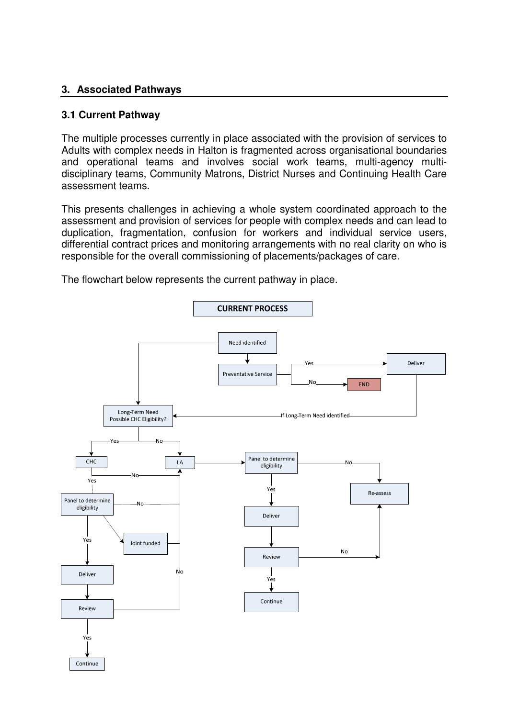### **3. Associated Pathways**

### **3.1 Current Pathway**

The multiple processes currently in place associated with the provision of services to Adults with complex needs in Halton is fragmented across organisational boundaries and operational teams and involves social work teams, multi-agency multidisciplinary teams, Community Matrons, District Nurses and Continuing Health Care assessment teams.

This presents challenges in achieving a whole system coordinated approach to the assessment and provision of services for people with complex needs and can lead to duplication, fragmentation, confusion for workers and individual service users, differential contract prices and monitoring arrangements with no real clarity on who is responsible for the overall commissioning of placements/packages of care.



The flowchart below represents the current pathway in place.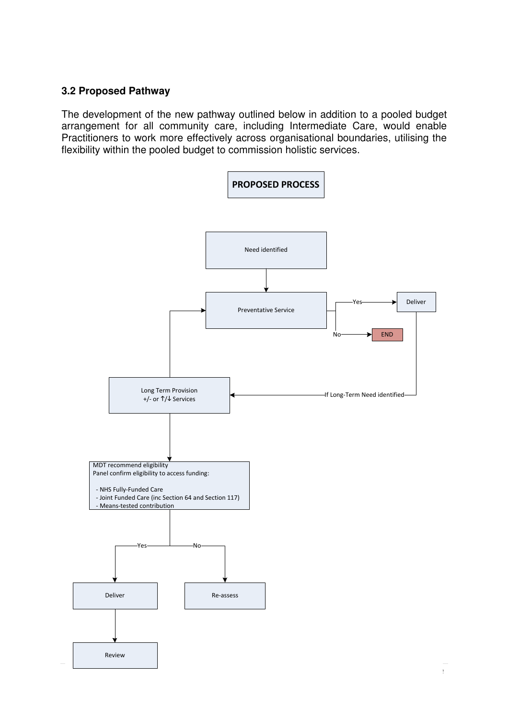### **3.2 Proposed Pathway**

The development of the new pathway outlined below in addition to a pooled budget arrangement for all community care, including Intermediate Care, would enable Practitioners to work more effectively across organisational boundaries, utilising the flexibility within the pooled budget to commission holistic services.

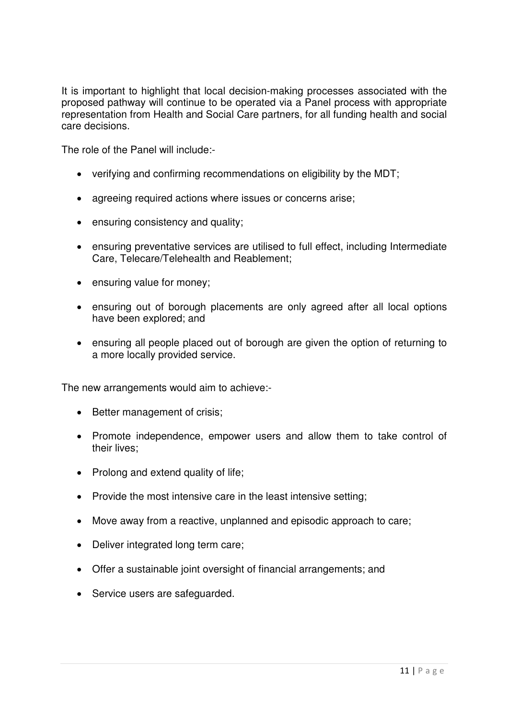It is important to highlight that local decision-making processes associated with the proposed pathway will continue to be operated via a Panel process with appropriate representation from Health and Social Care partners, for all funding health and social care decisions.

The role of the Panel will include:-

- verifying and confirming recommendations on eligibility by the MDT;
- agreeing required actions where issues or concerns arise;
- ensuring consistency and quality;
- ensuring preventative services are utilised to full effect, including Intermediate Care, Telecare/Telehealth and Reablement;
- ensuring value for money;
- ensuring out of borough placements are only agreed after all local options have been explored; and
- ensuring all people placed out of borough are given the option of returning to a more locally provided service.

The new arrangements would aim to achieve:-

- Better management of crisis;
- Promote independence, empower users and allow them to take control of their lives;
- Prolong and extend quality of life;
- Provide the most intensive care in the least intensive setting;
- Move away from a reactive, unplanned and episodic approach to care;
- Deliver integrated long term care;
- Offer a sustainable joint oversight of financial arrangements; and
- Service users are safequarded.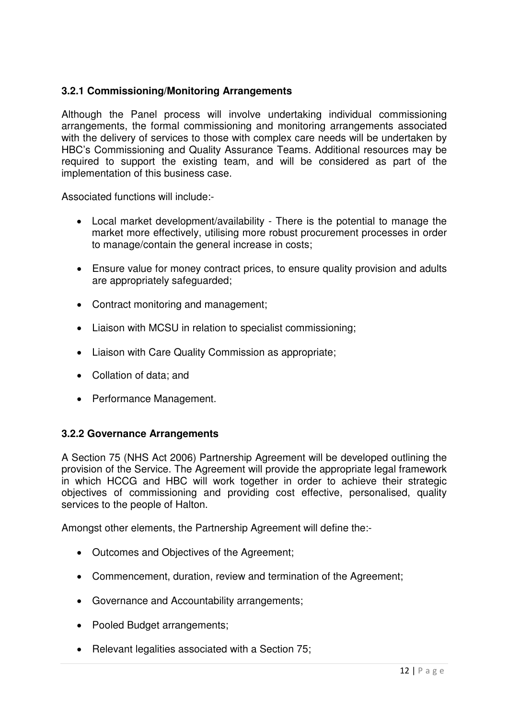# **3.2.1 Commissioning/Monitoring Arrangements**

Although the Panel process will involve undertaking individual commissioning arrangements, the formal commissioning and monitoring arrangements associated with the delivery of services to those with complex care needs will be undertaken by HBC's Commissioning and Quality Assurance Teams. Additional resources may be required to support the existing team, and will be considered as part of the implementation of this business case.

Associated functions will include:-

- Local market development/availability There is the potential to manage the market more effectively, utilising more robust procurement processes in order to manage/contain the general increase in costs;
- Ensure value for money contract prices, to ensure quality provision and adults are appropriately safeguarded;
- Contract monitoring and management;
- Liaison with MCSU in relation to specialist commissioning;
- Liaison with Care Quality Commission as appropriate;
- Collation of data; and
- Performance Management.

#### **3.2.2 Governance Arrangements**

A Section 75 (NHS Act 2006) Partnership Agreement will be developed outlining the provision of the Service. The Agreement will provide the appropriate legal framework in which HCCG and HBC will work together in order to achieve their strategic objectives of commissioning and providing cost effective, personalised, quality services to the people of Halton.

Amongst other elements, the Partnership Agreement will define the:-

- Outcomes and Objectives of the Agreement;
- Commencement, duration, review and termination of the Agreement:
- Governance and Accountability arrangements;
- Pooled Budget arrangements;
- Relevant legalities associated with a Section 75;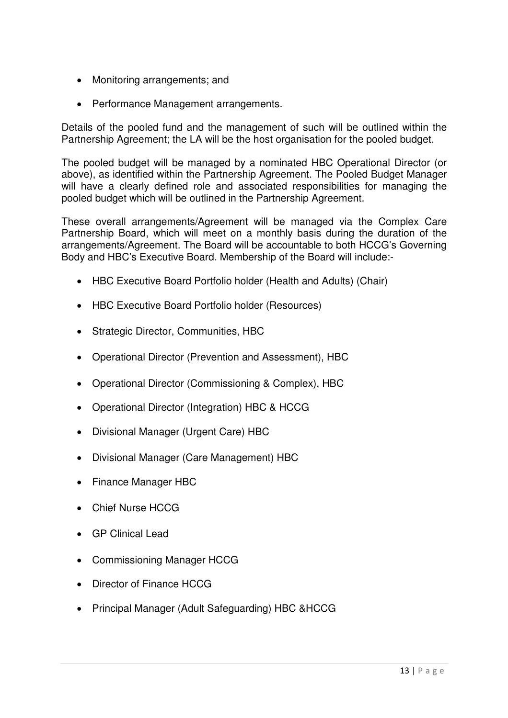- Monitoring arrangements; and
- Performance Management arrangements.

Details of the pooled fund and the management of such will be outlined within the Partnership Agreement; the LA will be the host organisation for the pooled budget.

The pooled budget will be managed by a nominated HBC Operational Director (or above), as identified within the Partnership Agreement. The Pooled Budget Manager will have a clearly defined role and associated responsibilities for managing the pooled budget which will be outlined in the Partnership Agreement.

These overall arrangements/Agreement will be managed via the Complex Care Partnership Board, which will meet on a monthly basis during the duration of the arrangements/Agreement. The Board will be accountable to both HCCG's Governing Body and HBC's Executive Board. Membership of the Board will include:-

- HBC Executive Board Portfolio holder (Health and Adults) (Chair)
- HBC Executive Board Portfolio holder (Resources)
- Strategic Director, Communities, HBC
- Operational Director (Prevention and Assessment), HBC
- Operational Director (Commissioning & Complex), HBC
- Operational Director (Integration) HBC & HCCG
- Divisional Manager (Urgent Care) HBC
- Divisional Manager (Care Management) HBC
- Finance Manager HBC
- Chief Nurse HCCG
- GP Clinical Lead
- Commissioning Manager HCCG
- Director of Finance HCCG
- Principal Manager (Adult Safeguarding) HBC &HCCG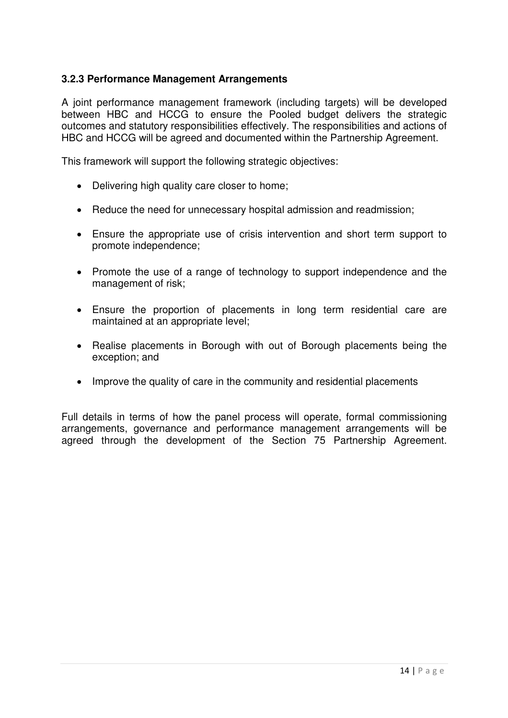# **3.2.3 Performance Management Arrangements**

A joint performance management framework (including targets) will be developed between HBC and HCCG to ensure the Pooled budget delivers the strategic outcomes and statutory responsibilities effectively. The responsibilities and actions of HBC and HCCG will be agreed and documented within the Partnership Agreement.

This framework will support the following strategic objectives:

- Delivering high quality care closer to home;
- Reduce the need for unnecessary hospital admission and readmission;
- Ensure the appropriate use of crisis intervention and short term support to promote independence;
- Promote the use of a range of technology to support independence and the management of risk;
- Ensure the proportion of placements in long term residential care are maintained at an appropriate level;
- Realise placements in Borough with out of Borough placements being the exception; and
- Improve the quality of care in the community and residential placements

Full details in terms of how the panel process will operate, formal commissioning arrangements, governance and performance management arrangements will be agreed through the development of the Section 75 Partnership Agreement.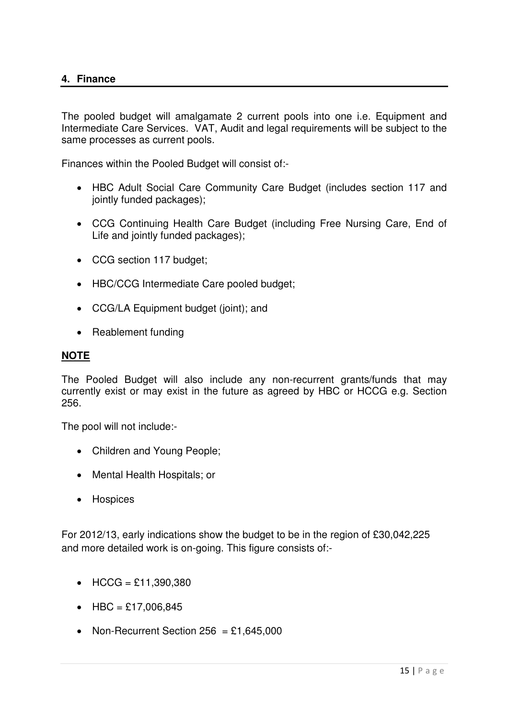The pooled budget will amalgamate 2 current pools into one i.e. Equipment and Intermediate Care Services. VAT, Audit and legal requirements will be subject to the same processes as current pools.

Finances within the Pooled Budget will consist of:-

- HBC Adult Social Care Community Care Budget (includes section 117 and jointly funded packages);
- CCG Continuing Health Care Budget (including Free Nursing Care, End of Life and jointly funded packages);
- CCG section 117 budget;
- HBC/CCG Intermediate Care pooled budget;
- CCG/LA Equipment budget (joint); and
- Reablement funding

#### **NOTE**

The Pooled Budget will also include any non-recurrent grants/funds that may currently exist or may exist in the future as agreed by HBC or HCCG e.g. Section 256.

The pool will not include:-

- Children and Young People;
- Mental Health Hospitals; or
- Hospices

For 2012/13, early indications show the budget to be in the region of £30,042,225 and more detailed work is on-going. This figure consists of:-

- HCCG =  $£11,390,380$
- HBC = £17,006,845
- Non-Recurrent Section  $256 = £1,645,000$